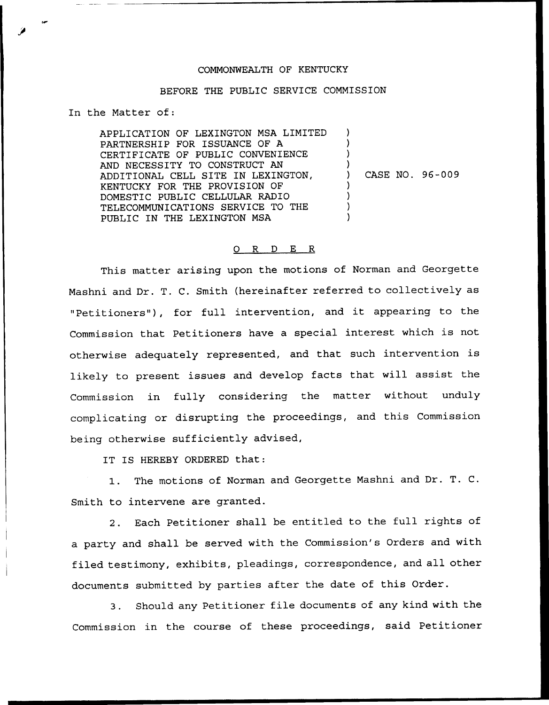## COMMONNEALTH OF KENTUCKY

## BEFORE THE PUBLIC SERVICE COMMISSION

In the Matter of:

APPLICATION OF LEXINGTON MSA LIMITED PARTNERSHIP FOR ISSUANCE OF A CERTIFICATE OF PUBLIC CONVENIENCE AND NECESSITY TO CONSTRUCT AN ADDITIONAL CELL SITE IN LEXINGTON, KENTUCKY FOR THE PROVISION OF DOMESTIC PUBLIC CELLULAR RADIO TELECOMMUNICATIONS SERVICE TO THE PUBLIC IN THE LEXINGTON MSA ) ) ) ) ) CASE NO. 96-009 ) ) ) )

## 0 R <sup>D</sup> E R

This matter arising upon the motions of Norman and Georgette Mashni and Dr. T. C. Smith (hereinafter referred to collectively as "Petitioners"), for full intervention, and it appearing to the Commission that Petitioners have <sup>a</sup> special interest which is not otherwise adequately represented, and that such intervention is likely to present issues and develop facts that will assist the Commission in fully considering the matter without unduly complicating or disrupting the proceedings, and this Commission being otherwise sufficiently advised,

IT IS HEREBY ORDERED that:

1. The motions of Norman and Georgette Mashni and Dr. T. C. Smith to intervene are granted.

2. Each Petitioner shall be entitled to the full rights of a party and shall be served with the Commission's Orders and with filed testimony, exhibits, pleadings, correspondence, and all other documents submitted by parties after the date of this Order.

3. Should any Petitioner file documents of any kind with the Commission in the course of these proceedings, said Petitioner